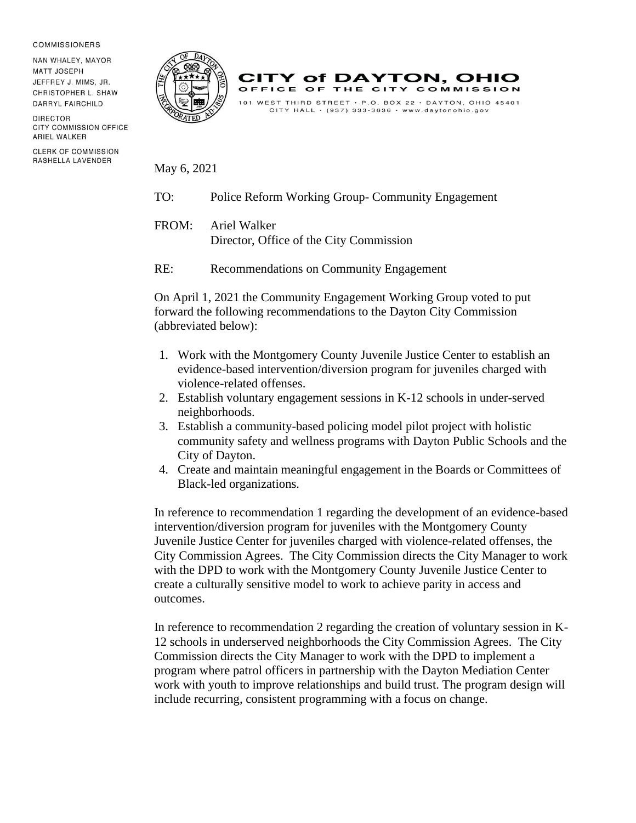## **COMMISSIONERS**

NAN WHALEY, MAYOR **MATT JOSEPH** JEFFREY J. MIMS, JR. CHRISTOPHER L. SHAW DARRYL FAIRCHILD

DIRECTOR CITY COMMISSION OFFICE ARIEL WALKER

**CLERK OF COMMISSION** RASHELLA LAVENDER



**CITY of DAYTON, OHIO** OFFICE OF THE CITY COMMISSION 101 WEST THIRD STREET · P.O. BOX 22 · DAYTON, OHIO 45401 CITY HALL  $\cdot$  (937) 333-3636  $\cdot$  www.daytonohio.gov

May 6, 2021

- TO: Police Reform Working Group- Community Engagement
- FROM: Ariel Walker Director, Office of the City Commission
- RE: Recommendations on Community Engagement

On April 1, 2021 the Community Engagement Working Group voted to put forward the following recommendations to the Dayton City Commission (abbreviated below):

- 1. Work with the Montgomery County Juvenile Justice Center to establish an evidence-based intervention/diversion program for juveniles charged with violence-related offenses.
- 2. Establish voluntary engagement sessions in K-12 schools in under-served neighborhoods.
- 3. Establish a community-based policing model pilot project with holistic community safety and wellness programs with Dayton Public Schools and the City of Dayton.
- 4. Create and maintain meaningful engagement in the Boards or Committees of Black-led organizations.

In reference to recommendation 1 regarding the development of an evidence-based intervention/diversion program for juveniles with the Montgomery County Juvenile Justice Center for juveniles charged with violence-related offenses, the City Commission Agrees. The City Commission directs the City Manager to work with the DPD to work with the Montgomery County Juvenile Justice Center to create a culturally sensitive model to work to achieve parity in access and outcomes.

In reference to recommendation 2 regarding the creation of voluntary session in K-12 schools in underserved neighborhoods the City Commission Agrees. The City Commission directs the City Manager to work with the DPD to implement a program where patrol officers in partnership with the Dayton Mediation Center work with youth to improve relationships and build trust. The program design will include recurring, consistent programming with a focus on change.